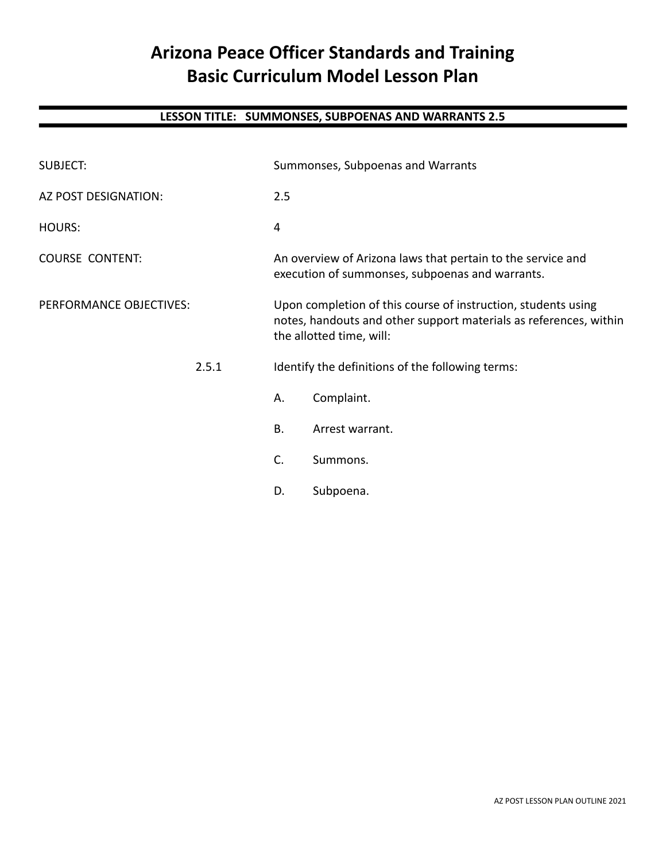# **Arizona Peace Officer Standards and Training Basic Curriculum Model Lesson Plan**

## **LESSON TITLE: SUMMONSES, SUBPOENAS AND WARRANTS 2.5**

| <b>SUBJECT:</b>         |       | Summonses, Subpoenas and Warrants                                                                                                                              |                 |  |
|-------------------------|-------|----------------------------------------------------------------------------------------------------------------------------------------------------------------|-----------------|--|
| AZ POST DESIGNATION:    |       | 2.5                                                                                                                                                            |                 |  |
| <b>HOURS:</b>           |       | 4                                                                                                                                                              |                 |  |
| <b>COURSE CONTENT:</b>  |       | An overview of Arizona laws that pertain to the service and<br>execution of summonses, subpoenas and warrants.                                                 |                 |  |
| PERFORMANCE OBJECTIVES: |       | Upon completion of this course of instruction, students using<br>notes, handouts and other support materials as references, within<br>the allotted time, will: |                 |  |
|                         | 2.5.1 | Identify the definitions of the following terms:                                                                                                               |                 |  |
|                         |       | Α.                                                                                                                                                             | Complaint.      |  |
|                         |       | <b>B.</b>                                                                                                                                                      | Arrest warrant. |  |
|                         |       | C.                                                                                                                                                             | Summons.        |  |
|                         |       | D.                                                                                                                                                             | Subpoena.       |  |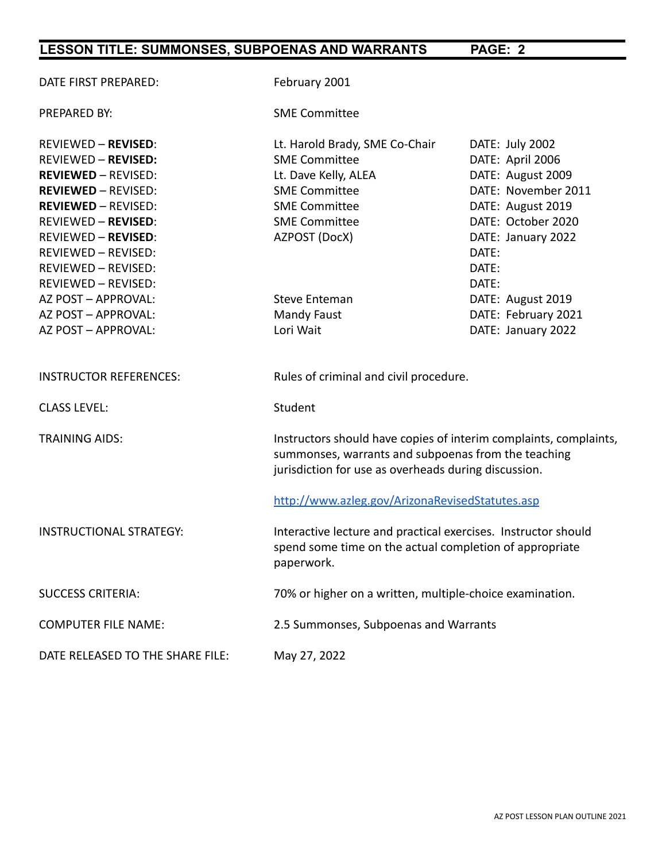| DATE FIRST PREPARED:             | February 2001                                                                                                                                                                    |                     |  |
|----------------------------------|----------------------------------------------------------------------------------------------------------------------------------------------------------------------------------|---------------------|--|
| <b>PREPARED BY:</b>              | <b>SME Committee</b>                                                                                                                                                             |                     |  |
| <b>REVIEWED - REVISED:</b>       | Lt. Harold Brady, SME Co-Chair                                                                                                                                                   | DATE: July 2002     |  |
| <b>REVIEWED - REVISED:</b>       | <b>SME Committee</b>                                                                                                                                                             | DATE: April 2006    |  |
| <b>REVIEWED - REVISED:</b>       | Lt. Dave Kelly, ALEA                                                                                                                                                             | DATE: August 2009   |  |
| <b>REVIEWED - REVISED:</b>       | <b>SME Committee</b>                                                                                                                                                             | DATE: November 2011 |  |
| <b>REVIEWED - REVISED:</b>       | <b>SME Committee</b>                                                                                                                                                             | DATE: August 2019   |  |
| <b>REVIEWED - REVISED:</b>       | <b>SME Committee</b>                                                                                                                                                             | DATE: October 2020  |  |
| <b>REVIEWED - REVISED:</b>       | AZPOST (DocX)                                                                                                                                                                    | DATE: January 2022  |  |
| REVIEWED - REVISED:              |                                                                                                                                                                                  | DATE:               |  |
| <b>REVIEWED - REVISED:</b>       |                                                                                                                                                                                  | DATE:               |  |
| REVIEWED - REVISED:              |                                                                                                                                                                                  | DATE:               |  |
| AZ POST - APPROVAL:              | <b>Steve Enteman</b>                                                                                                                                                             | DATE: August 2019   |  |
| AZ POST - APPROVAL:              | <b>Mandy Faust</b>                                                                                                                                                               | DATE: February 2021 |  |
| AZ POST - APPROVAL:              | Lori Wait                                                                                                                                                                        | DATE: January 2022  |  |
| <b>INSTRUCTOR REFERENCES:</b>    | Rules of criminal and civil procedure.                                                                                                                                           |                     |  |
| <b>CLASS LEVEL:</b>              | Student                                                                                                                                                                          |                     |  |
| <b>TRAINING AIDS:</b>            | Instructors should have copies of interim complaints, complaints,<br>summonses, warrants and subpoenas from the teaching<br>jurisdiction for use as overheads during discussion. |                     |  |
|                                  | http://www.azleg.gov/ArizonaRevisedStatutes.asp                                                                                                                                  |                     |  |
| <b>INSTRUCTIONAL STRATEGY:</b>   | Interactive lecture and practical exercises. Instructor should<br>spend some time on the actual completion of appropriate<br>paperwork.                                          |                     |  |
| <b>SUCCESS CRITERIA:</b>         | 70% or higher on a written, multiple-choice examination.                                                                                                                         |                     |  |
| <b>COMPUTER FILE NAME:</b>       | 2.5 Summonses, Subpoenas and Warrants                                                                                                                                            |                     |  |
| DATE RELEASED TO THE SHARE FILE: | May 27, 2022                                                                                                                                                                     |                     |  |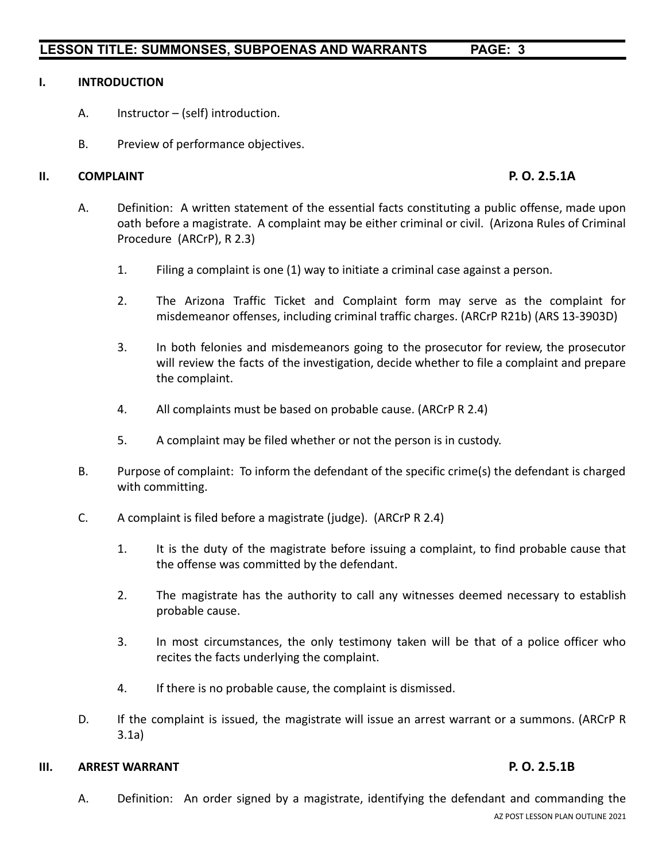### **I. INTRODUCTION**

- A. Instructor (self) introduction.
- B. Preview of performance objectives.

### **II. COMPLAINT P. O. 2.5.1A**

- A. Definition: A written statement of the essential facts constituting a public offense, made upon oath before a magistrate. A complaint may be either criminal or civil. (Arizona Rules of Criminal Procedure (ARCrP), R 2.3)
	- 1. Filing a complaint is one (1) way to initiate a criminal case against a person.
	- 2. The Arizona Traffic Ticket and Complaint form may serve as the complaint for misdemeanor offenses, including criminal traffic charges. (ARCrP R21b) (ARS 13-3903D)
	- 3. In both felonies and misdemeanors going to the prosecutor for review, the prosecutor will review the facts of the investigation, decide whether to file a complaint and prepare the complaint.
	- 4. All complaints must be based on probable cause. (ARCrP R 2.4)
	- 5. A complaint may be filed whether or not the person is in custody.
- B. Purpose of complaint: To inform the defendant of the specific crime(s) the defendant is charged with committing.
- C. A complaint is filed before a magistrate (judge). (ARCrP R 2.4)
	- 1. It is the duty of the magistrate before issuing a complaint, to find probable cause that the offense was committed by the defendant.
	- 2. The magistrate has the authority to call any witnesses deemed necessary to establish probable cause.
	- 3. In most circumstances, the only testimony taken will be that of a police officer who recites the facts underlying the complaint.
	- 4. If there is no probable cause, the complaint is dismissed.
- D. If the complaint is issued, the magistrate will issue an arrest warrant or a summons. (ARCrP R 3.1a)

### **III. ARREST WARRANT P. O. 2.5.1B**

A. Definition: An order signed by a magistrate, identifying the defendant and commanding the AZ POST LESSON PLAN OUTLINE 2021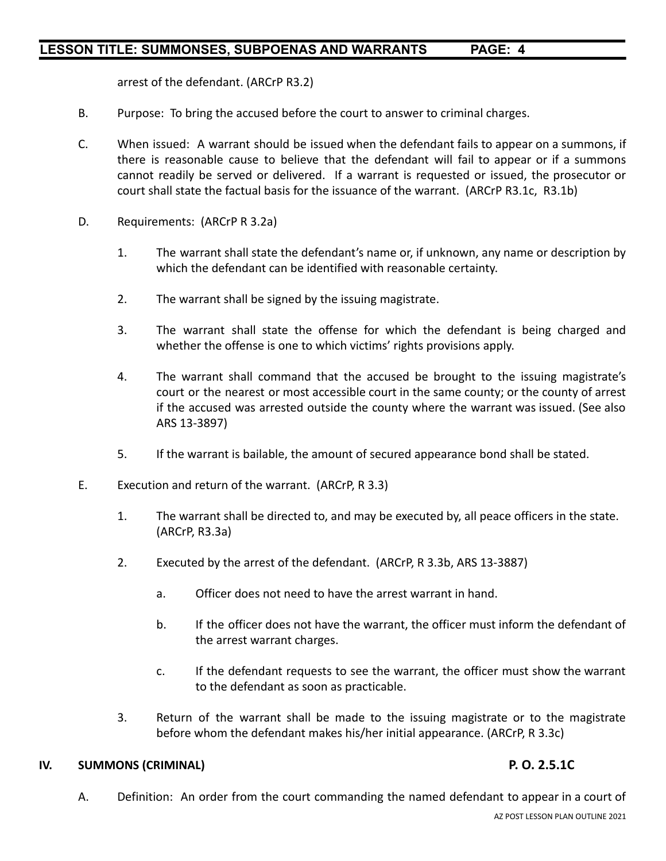arrest of the defendant. (ARCrP R3.2)

- B. Purpose: To bring the accused before the court to answer to criminal charges.
- C. When issued: A warrant should be issued when the defendant fails to appear on a summons, if there is reasonable cause to believe that the defendant will fail to appear or if a summons cannot readily be served or delivered. If a warrant is requested or issued, the prosecutor or court shall state the factual basis for the issuance of the warrant. (ARCrP R3.1c, R3.1b)
- D. Requirements: (ARCrP R 3.2a)
	- 1. The warrant shall state the defendant's name or, if unknown, any name or description by which the defendant can be identified with reasonable certainty.
	- 2. The warrant shall be signed by the issuing magistrate.
	- 3. The warrant shall state the offense for which the defendant is being charged and whether the offense is one to which victims' rights provisions apply.
	- 4. The warrant shall command that the accused be brought to the issuing magistrate's court or the nearest or most accessible court in the same county; or the county of arrest if the accused was arrested outside the county where the warrant was issued. (See also ARS 13-3897)
	- 5. If the warrant is bailable, the amount of secured appearance bond shall be stated.
- E. Execution and return of the warrant. (ARCrP, R 3.3)
	- 1. The warrant shall be directed to, and may be executed by, all peace officers in the state. (ARCrP, R3.3a)
	- 2. Executed by the arrest of the defendant. (ARCrP, R 3.3b, ARS 13-3887)
		- a. Officer does not need to have the arrest warrant in hand.
		- b. If the officer does not have the warrant, the officer must inform the defendant of the arrest warrant charges.
		- c. If the defendant requests to see the warrant, the officer must show the warrant to the defendant as soon as practicable.
	- 3. Return of the warrant shall be made to the issuing magistrate or to the magistrate before whom the defendant makes his/her initial appearance. (ARCrP, R 3.3c)

### **IV. SUMMONS (CRIMINAL) P. O. 2.5.1C**

A. Definition: An order from the court commanding the named defendant to appear in a court of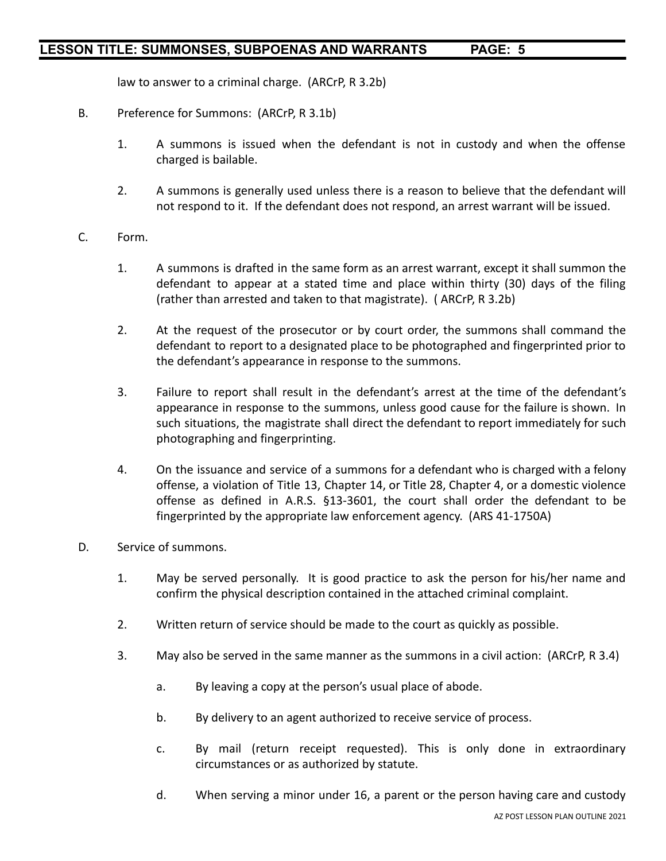law to answer to a criminal charge. (ARCrP, R 3.2b)

- B. Preference for Summons: (ARCrP, R 3.1b)
	- 1. A summons is issued when the defendant is not in custody and when the offense charged is bailable.
	- 2. A summons is generally used unless there is a reason to believe that the defendant will not respond to it. If the defendant does not respond, an arrest warrant will be issued.
- C. Form.
	- 1. A summons is drafted in the same form as an arrest warrant, except it shall summon the defendant to appear at a stated time and place within thirty (30) days of the filing (rather than arrested and taken to that magistrate). ( ARCrP, R 3.2b)
	- 2. At the request of the prosecutor or by court order, the summons shall command the defendant to report to a designated place to be photographed and fingerprinted prior to the defendant's appearance in response to the summons.
	- 3. Failure to report shall result in the defendant's arrest at the time of the defendant's appearance in response to the summons, unless good cause for the failure is shown. In such situations, the magistrate shall direct the defendant to report immediately for such photographing and fingerprinting.
	- 4. On the issuance and service of a summons for a defendant who is charged with a felony offense, a violation of Title 13, Chapter 14, or Title 28, Chapter 4, or a domestic violence offense as defined in A.R.S. §13-3601, the court shall order the defendant to be fingerprinted by the appropriate law enforcement agency. (ARS 41-1750A)
- D. Service of summons.
	- 1. May be served personally. It is good practice to ask the person for his/her name and confirm the physical description contained in the attached criminal complaint.
	- 2. Written return of service should be made to the court as quickly as possible.
	- 3. May also be served in the same manner as the summons in a civil action: (ARCrP, R 3.4)
		- a. By leaving a copy at the person's usual place of abode.
		- b. By delivery to an agent authorized to receive service of process.
		- c. By mail (return receipt requested). This is only done in extraordinary circumstances or as authorized by statute.
		- d. When serving a minor under 16, a parent or the person having care and custody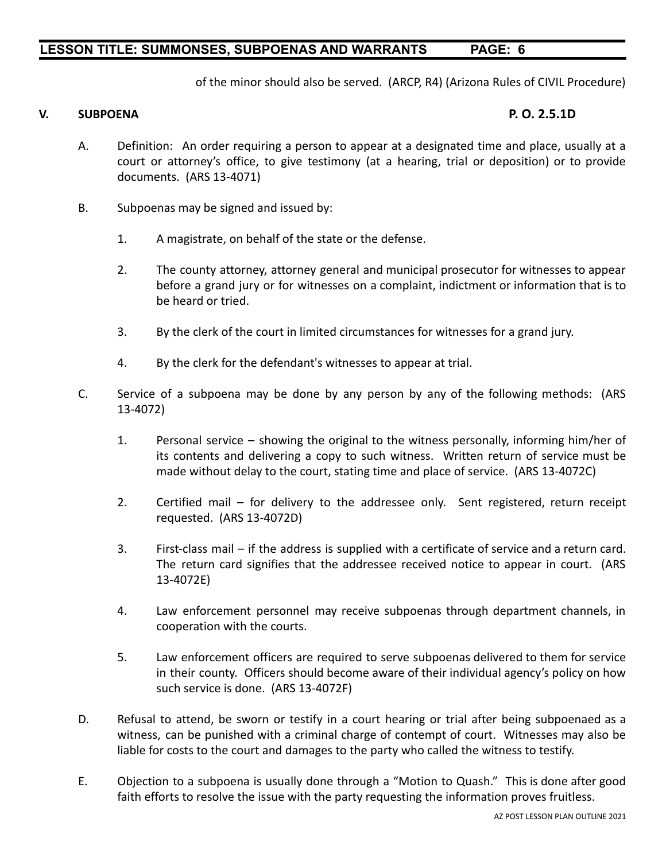of the minor should also be served. (ARCP, R4) (Arizona Rules of CIVIL Procedure)

### **V. SUBPOENA P. O. 2.5.1D**

- A. Definition: An order requiring a person to appear at a designated time and place, usually at a court or attorney's office, to give testimony (at a hearing, trial or deposition) or to provide documents. (ARS 13-4071)
- B. Subpoenas may be signed and issued by:
	- 1. A magistrate, on behalf of the state or the defense.
	- 2. The county attorney, attorney general and municipal prosecutor for witnesses to appear before a grand jury or for witnesses on a complaint, indictment or information that is to be heard or tried.
	- 3. By the clerk of the court in limited circumstances for witnesses for a grand jury.
	- 4. By the clerk for the defendant's witnesses to appear at trial.
- C. Service of a subpoena may be done by any person by any of the following methods: (ARS 13-4072)
	- 1. Personal service showing the original to the witness personally, informing him/her of its contents and delivering a copy to such witness. Written return of service must be made without delay to the court, stating time and place of service. (ARS 13-4072C)
	- 2. Certified mail for delivery to the addressee only. Sent registered, return receipt requested. (ARS 13-4072D)
	- 3. First-class mail if the address is supplied with a certificate of service and a return card. The return card signifies that the addressee received notice to appear in court. (ARS 13-4072E)
	- 4. Law enforcement personnel may receive subpoenas through department channels, in cooperation with the courts.
	- 5. Law enforcement officers are required to serve subpoenas delivered to them for service in their county. Officers should become aware of their individual agency's policy on how such service is done. (ARS 13-4072F)
- D. Refusal to attend, be sworn or testify in a court hearing or trial after being subpoenaed as a witness, can be punished with a criminal charge of contempt of court. Witnesses may also be liable for costs to the court and damages to the party who called the witness to testify.
- E. Objection to a subpoena is usually done through a "Motion to Quash." This is done after good faith efforts to resolve the issue with the party requesting the information proves fruitless.